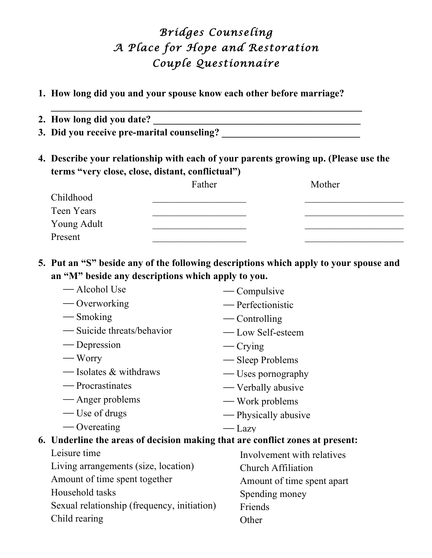## *Bridges Counseling A Place for Hope and Restoration Couple Questionnaire*

**1. How long did you and your spouse know each other before marriage?** 

**\_\_\_\_\_\_\_\_\_\_\_\_\_\_\_\_\_\_\_\_\_\_\_\_\_\_\_\_\_\_\_\_\_\_\_\_\_\_\_\_\_\_\_\_\_\_\_\_\_\_\_\_\_\_\_\_\_\_\_\_\_\_\_**

- **2. How long did you date? \_\_\_\_\_\_\_\_\_\_\_\_\_\_\_\_\_\_\_\_\_\_\_\_\_\_\_\_\_\_\_\_\_\_\_\_\_\_\_\_\_\_**
- **3. Did you receive pre-marital counseling? \_\_\_\_\_\_\_\_\_\_\_\_\_\_\_\_\_\_\_\_\_\_\_\_\_\_\_\_**
- **4. Describe your relationship with each of your parents growing up. (Please use the terms "very close, close, distant, conflictual")**

|             | Father | Mother |
|-------------|--------|--------|
| Childhood   |        |        |
| Teen Years  |        |        |
| Young Adult |        |        |
| Present     |        |        |

**5. Put an "S" beside any of the following descriptions which apply to your spouse and an "M" beside any descriptions which apply to you.**

| — Alcohol Use                                                                 | — Compulsive               |
|-------------------------------------------------------------------------------|----------------------------|
| — Overworking                                                                 | — Perfectionistic          |
| — Smoking                                                                     | — Controlling              |
| — Suicide threats/behavior                                                    | — Low Self-esteem          |
| — Depression                                                                  | $\sim$ Crying              |
| — Worry                                                                       | — Sleep Problems           |
| — Isolates & withdraws                                                        | — Uses pornography         |
| — Procrastinates                                                              | — Verbally abusive         |
| — Anger problems                                                              | — Work problems            |
| — Use of drugs                                                                | — Physically abusive       |
| — Overeating                                                                  | $-\text{Lazv}$             |
| 6. Underline the areas of decision making that are conflict zones at present: |                            |
| Leisure time                                                                  | Involvement with relatives |
| Living arrangements (size, location)                                          | Church Affiliation         |
| Amount of time spent together                                                 | Amount of time spent apart |
| Household tasks                                                               | Spending money             |
| Sexual relationship (frequency, initiation)                                   | Friends                    |
| Child rearing                                                                 | Other                      |